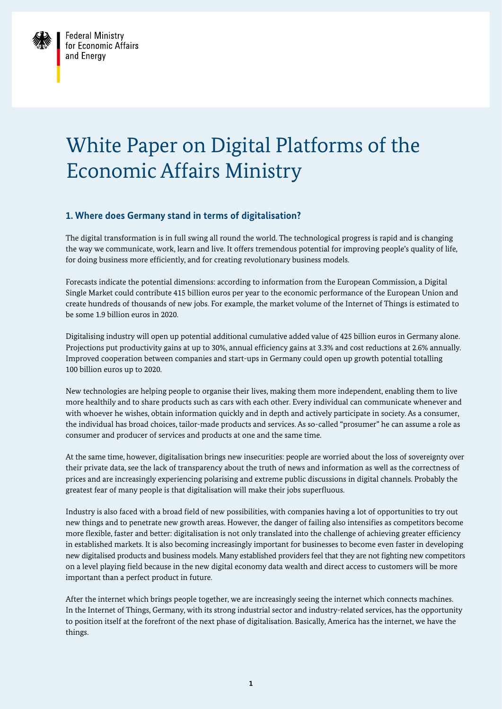

# White Paper on Digital Platforms of the Economic Affairs Ministry

# **1. Where does Germany stand in terms of digitalisation?**

The digital transformation is in full swing all round the world. The technological progress is rapid and is changing the way we communicate, work, learn and live. It offers tremendous potential for improving people's quality of life, for doing business more efficiently, and for creating revolutionary business models.

Forecasts indicate the potential dimensions: according to information from the European Commission, a Digital Single Market could contribute 415 billion euros per year to the economic performance of the European Union and create hundreds of thousands of new jobs. For example, the market volume of the Internet of Things is estimated to be some 1.9 billion euros in 2020.

Digitalising industry will open up potential additional cumulative added value of 425 billion euros in Germany alone. Projections put productivity gains at up to 30%, annual efficiency gains at 3.3% and cost reductions at 2.6% annually. Improved cooperation between companies and start-ups in Germany could open up growth potential totalling 100 billion euros up to 2020.

New technologies are helping people to organise their lives, making them more independent, enabling them to live more healthily and to share products such as cars with each other. Every individual can communicate whenever and with whoever he wishes, obtain information quickly and in depth and actively participate in society. As a consumer, the individual has broad choices, tailor-made products and services. As so-called "prosumer" he can assume a role as consumer and producer of services and products at one and the same time.

At the same time, however, digitalisation brings new insecurities: people are worried about the loss of sovereignty over their private data, see the lack of transparency about the truth of news and information as well as the correctness of prices and are increasingly experiencing polarising and extreme public discussions in digital channels. Probably the greatest fear of many people is that digitalisation will make their jobs superfluous.

Industry is also faced with a broad field of new possibilities, with companies having a lot of opportunities to try out new things and to penetrate new growth areas. However, the danger of failing also intensifies as competitors become more flexible, faster and better: digitalisation is not only translated into the challenge of achieving greater efficiency in established markets. It is also becoming increasingly important for businesses to become even faster in developing new digitalised products and business models. Many established providers feel that they are not fighting new competitors on a level playing field because in the new digital economy data wealth and direct access to customers will be more important than a perfect product in future.

After the internet which brings people together, we are increasingly seeing the internet which connects machines. In the Internet of Things, Germany, with its strong industrial sector and industry-related services, has the opportunity to position itself at the forefront of the next phase of digitalisation. Basically, America has the internet, we have the things.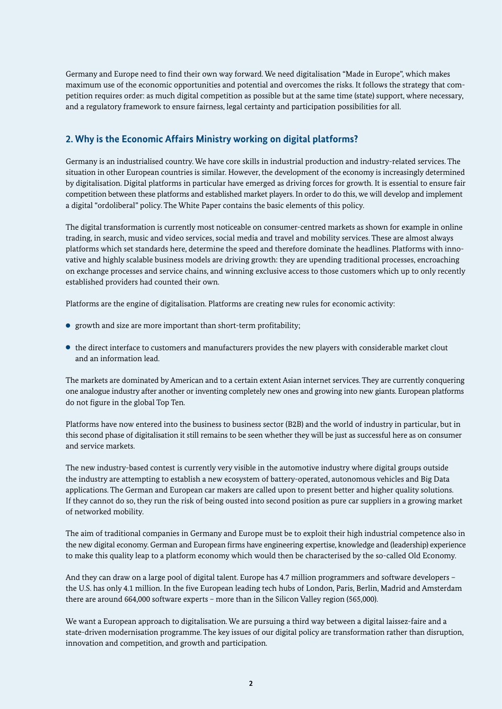Germany and Europe need to find their own way forward. We need digitalisation "Made in Europe", which makes maximum use of the economic opportunities and potential and overcomes the risks. It follows the strategy that competition requires order: as much digital competition as possible but at the same time (state) support, where necessary, and a regulatory framework to ensure fairness, legal certainty and participation possibilities for all.

# **2. Why is the Economic Affairs Ministry working on digital platforms?**

Germany is an industrialised country. We have core skills in industrial production and industry-related services. The situation in other European countries is similar. However, the development of the economy is increasingly determined by digitalisation. Digital platforms in particular have emerged as driving forces for growth. It is essential to ensure fair competition between these platforms and established market players. In order to do this, we will develop and implement a digital "ordoliberal" policy. The White Paper contains the basic elements of this policy.

The digital transformation is currently most noticeable on consumer-centred markets as shown for example in online trading, in search, music and video services, social media and travel and mobility services. These are almost always platforms which set standards here, determine the speed and therefore dominate the headlines. Platforms with innovative and highly scalable business models are driving growth: they are upending traditional processes, encroaching on exchange processes and service chains, and winning exclusive access to those customers which up to only recently established providers had counted their own.

Platforms are the engine of digitalisation. Platforms are creating new rules for economic activity:

- growth and size are more important than short-term profitability;
- the direct interface to customers and manufacturers provides the new players with considerable market clout and an information lead.

The markets are dominated by American and to a certain extent Asian internet services. They are currently conquering one analogue industry after another or inventing completely new ones and growing into new giants. European platforms do not figure in the global Top Ten.

Platforms have now entered into the business to business sector (B2B) and the world of industry in particular, but in this second phase of digitalisation it still remains to be seen whether they will be just as successful here as on consumer and service markets.

The new industry-based contest is currently very visible in the automotive industry where digital groups outside the industry are attempting to establish a new ecosystem of battery-operated, autonomous vehicles and Big Data applications. The German and European car makers are called upon to present better and higher quality solutions. If they cannot do so, they run the risk of being ousted into second position as pure car suppliers in a growing market of networked mobility.

The aim of traditional companies in Germany and Europe must be to exploit their high industrial competence also in the new digital economy. German and European firms have engineering expertise, knowledge and (leadership) experience to make this quality leap to a platform economy which would then be characterised by the so-called Old Economy.

And they can draw on a large pool of digital talent. Europe has 4.7 million programmers and software developers – the U.S. has only 4.1 million. In the five European leading tech hubs of London, Paris, Berlin, Madrid and Amsterdam there are around 664,000 software experts – more than in the Silicon Valley region (565,000).

We want a European approach to digitalisation. We are pursuing a third way between a digital laissez-faire and a state-driven modernisation programme. The key issues of our digital policy are transformation rather than disruption, innovation and competition, and growth and participation.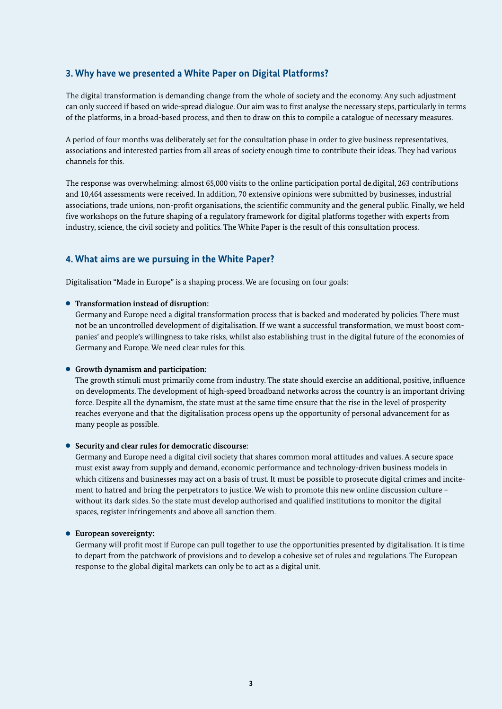# **3. Why have we presented a White Paper on Digital Platforms?**

The digital transformation is demanding change from the whole of society and the economy. Any such adjustment can only succeed if based on wide-spread dialogue. Our aim was to first analyse the necessary steps, particularly in terms of the platforms, in a broad-based process, and then to draw on this to compile a catalogue of necessary measures.

A period of four months was deliberately set for the consultation phase in order to give business representatives, associations and interested parties from all areas of society enough time to contribute their ideas. They had various channels for this.

The response was overwhelming: almost 65,000 visits to the online participation portal de.digital, 263 contributions and 10,464 assessments were received. In addition, 70 extensive opinions were submitted by businesses, industrial associations, trade unions, non-profit organisations, the scientific community and the general public. Finally, we held five workshops on the future shaping of a regulatory framework for digital platforms together with experts from industry, science, the civil society and politics. The White Paper is the result of this consultation process.

# **4. What aims are we pursuing in the White Paper?**

Digitalisation "Made in Europe" is a shaping process. We are focusing on four goals:

## • **Transformation instead of disruption:**

Germany and Europe need a digital transformation process that is backed and moderated by policies. There must not be an uncontrolled development of digitalisation. If we want a successful transformation, we must boost companies' and people's willingness to take risks, whilst also establishing trust in the digital future of the economies of Germany and Europe. We need clear rules for this.

## • **Growth dynamism and participation:**

The growth stimuli must primarily come from industry. The state should exercise an additional, positive, influence on developments. The development of high-speed broadband networks across the country is an important driving force. Despite all the dynamism, the state must at the same time ensure that the rise in the level of prosperity reaches everyone and that the digitalisation process opens up the opportunity of personal advancement for as many people as possible.

## • **Security and clear rules for democratic discourse:**

Germany and Europe need a digital civil society that shares common moral attitudes and values. A secure space must exist away from supply and demand, economic performance and technology-driven business models in which citizens and businesses may act on a basis of trust. It must be possible to prosecute digital crimes and incitement to hatred and bring the perpetrators to justice. We wish to promote this new online discussion culture – without its dark sides. So the state must develop authorised and qualified institutions to monitor the digital spaces, register infringements and above all sanction them.

## • **European sovereignty:**

Germany will profit most if Europe can pull together to use the opportunities presented by digitalisation. It is time to depart from the patchwork of provisions and to develop a cohesive set of rules and regulations. The European response to the global digital markets can only be to act as a digital unit.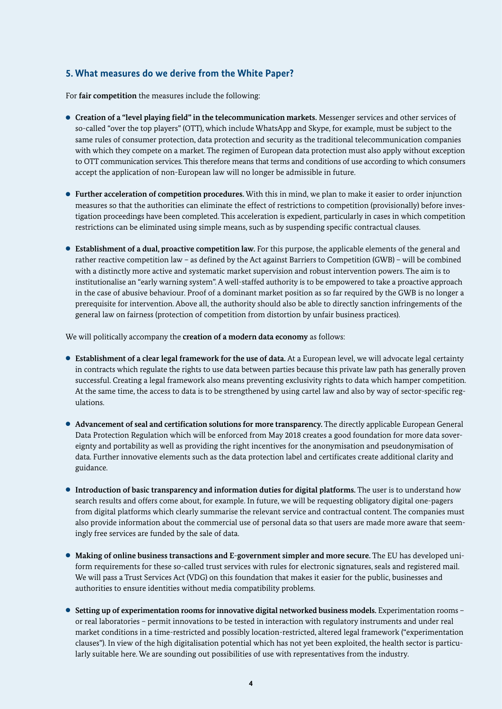## **5. What measures do we derive from the White Paper?**

For **fair competition** the measures include the following:

- **Creation of a "level playing field" in the telecommunication markets.** Messenger services and other services of so-called "over the top players" (OTT), which include WhatsApp and Skype, for example, must be subject to the same rules of consumer protection, data protection and security as the traditional telecommunication companies with which they compete on a market. The regimen of European data protection must also apply without exception to OTT communication services. This therefore means that terms and conditions of use according to which consumers accept the application of non-European law will no longer be admissible in future.
- **Further acceleration of competition procedures.** With this in mind, we plan to make it easier to order injunction measures so that the authorities can eliminate the effect of restrictions to competition (provisionally) before investigation proceedings have been completed. This acceleration is expedient, particularly in cases in which competition restrictions can be eliminated using simple means, such as by suspending specific contractual clauses.
- **Establishment of a dual, proactive competition law.** For this purpose, the applicable elements of the general and rather reactive competition law – as defined by the Act against Barriers to Competition (GWB) – will be combined with a distinctly more active and systematic market supervision and robust intervention powers. The aim is to institutionalise an "early warning system". A well-staffed authority is to be empowered to take a proactive approach in the case of abusive behaviour. Proof of a dominant market position as so far required by the GWB is no longer a prerequisite for intervention. Above all, the authority should also be able to directly sanction infringements of the general law on fairness (protection of competition from distortion by unfair business practices).

We will politically accompany the **creation of a modern data economy** as follows:

- **Establishment of a clear legal framework for the use of data.** At a European level, we will advocate legal certainty in contracts which regulate the rights to use data between parties because this private law path has generally proven successful. Creating a legal framework also means preventing exclusivity rights to data which hamper competition. At the same time, the access to data is to be strengthened by using cartel law and also by way of sector-specific regulations.
- **Advancement of seal and certification solutions for more transparency.** The directly applicable European General Data Protection Regulation which will be enforced from May 2018 creates a good foundation for more data sovereignty and portability as well as providing the right incentives for the anonymisation and pseudonymisation of data. Further innovative elements such as the data protection label and certificates create additional clarity and guidance.
- **Introduction of basic transparency and information duties for digital platforms.** The user is to understand how search results and offers come about, for example. In future, we will be requesting obligatory digital one-pagers from digital platforms which clearly summarise the relevant service and contractual content. The companies must also provide information about the commercial use of personal data so that users are made more aware that seemingly free services are funded by the sale of data.
- **Making of online business transactions and E-government simpler and more secure.** The EU has developed uniform requirements for these so-called trust services with rules for electronic signatures, seals and registered mail. We will pass a Trust Services Act (VDG) on this foundation that makes it easier for the public, businesses and authorities to ensure identities without media compatibility problems.
- **Setting up of experimentation rooms for innovative digital networked business models.** Experimentation rooms or real laboratories – permit innovations to be tested in interaction with regulatory instruments and under real market conditions in a time-restricted and possibly location-restricted, altered legal framework ("experimentation clauses"). In view of the high digitalisation potential which has not yet been exploited, the health sector is particularly suitable here. We are sounding out possibilities of use with representatives from the industry.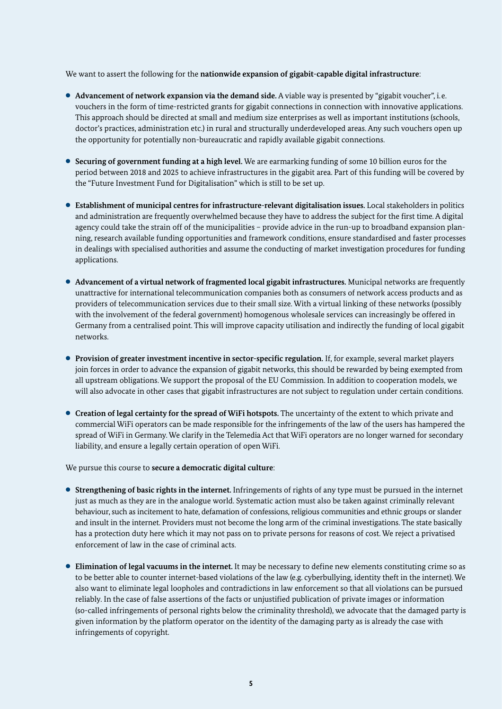We want to assert the following for the **nationwide expansion of gigabit-capable digital infrastructure**:

- **Advancement of network expansion via the demand side.** A viable way is presented by "gigabit voucher", i.e. vouchers in the form of time-restricted grants for gigabit connections in connection with innovative applications. This approach should be directed at small and medium size enterprises as well as important institutions (schools, doctor's practices, administration etc.) in rural and structurally underdeveloped areas. Any such vouchers open up the opportunity for potentially non-bureaucratic and rapidly available gigabit connections.
- **Securing of government funding at a high level.** We are earmarking funding of some 10 billion euros for the period between 2018 and 2025 to achieve infrastructures in the gigabit area. Part of this funding will be covered by the "Future Investment Fund for Digitalisation" which is still to be set up.
- **Establishment of municipal centres for infrastructure-relevant digitalisation issues.** Local stakeholders in politics and administration are frequently overwhelmed because they have to address the subject for the first time. A digital agency could take the strain off of the municipalities – provide advice in the run-up to broadband expansion planning, research available funding opportunities and framework conditions, ensure standardised and faster processes in dealings with specialised authorities and assume the conducting of market investigation procedures for funding applications.
- **Advancement of a virtual network of fragmented local gigabit infrastructures.** Municipal networks are frequently unattractive for international telecommunication companies both as consumers of network access products and as providers of telecommunication services due to their small size. With a virtual linking of these networks (possibly with the involvement of the federal government) homogenous wholesale services can increasingly be offered in Germany from a centralised point. This will improve capacity utilisation and indirectly the funding of local gigabit networks.
- **Provision of greater investment incentive in sector-specific regulation.** If, for example, several market players join forces in order to advance the expansion of gigabit networks, this should be rewarded by being exempted from all upstream obligations. We support the proposal of the EU Commission. In addition to cooperation models, we will also advocate in other cases that gigabit infrastructures are not subject to regulation under certain conditions.
- **Creation of legal certainty for the spread of WiFi hotspots.** The uncertainty of the extent to which private and commercial WiFi operators can be made responsible for the infringements of the law of the users has hampered the spread of WiFi in Germany. We clarify in the Telemedia Act that WiFi operators are no longer warned for secondary liability, and ensure a legally certain operation of open WiFi.

We pursue this course to **secure a democratic digital culture**:

- **Strengthening of basic rights in the internet.** Infringements of rights of any type must be pursued in the internet just as much as they are in the analogue world. Systematic action must also be taken against criminally relevant behaviour, such as incitement to hate, defamation of confessions, religious communities and ethnic groups or slander and insult in the internet. Providers must not become the long arm of the criminal investigations. The state basically has a protection duty here which it may not pass on to private persons for reasons of cost. We reject a privatised enforcement of law in the case of criminal acts.
- **Elimination of legal vacuums in the internet.** It may be necessary to define new elements constituting crime so as to be better able to counter internet-based violations of the law (e.g. cyberbullying, identity theft in the internet). We also want to eliminate legal loopholes and contradictions in law enforcement so that all violations can be pursued reliably. In the case of false assertions of the facts or unjustified publication of private images or information (so-called infringements of personal rights below the criminality threshold), we advocate that the damaged party is given information by the platform operator on the identity of the damaging party as is already the case with infringements of copyright.